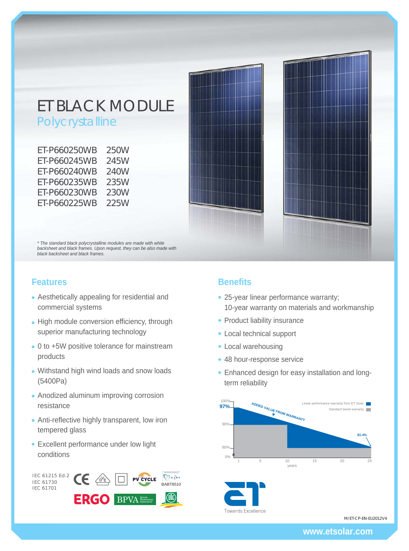# ET BLACK MODULE Polycrystalline

| ET-P660250WB | 250W |
|--------------|------|
| FT-P660245WB | 245W |
| FT-P660240WB | 240W |
| FT-P660235WB | 235W |
| ET-P660230WB | 230W |
| FT-P660225WB | 225W |

*\* The standard black polycrystalline modules are made with white backsheet and black frames. Upon request, they can be also made with black backsheet and black frames.*

## **Features**

- Aesthetically appealing for residential and commercial systems
- High module conversion efficiency, through superior manufacturing technology
- 0 to +5W positive tolerance for mainstream products
- Withstand high wind loads and snow loads (5400Pa)
- Anodized aluminum improving corrosion resistance
- Anti-reflective highly transparent, low iron tempered glass
- Excellent performance under low light conditions



## **Benefits**

- 25-year linear performance warranty; 10-year warranty on materials and workmanship
- Product liability insurance
- Local technical support
- Local warehousing
- 48 hour-response service
- Enhanced design for easy installation and longterm reliability



M/ET-CP-EN-EU2012V4